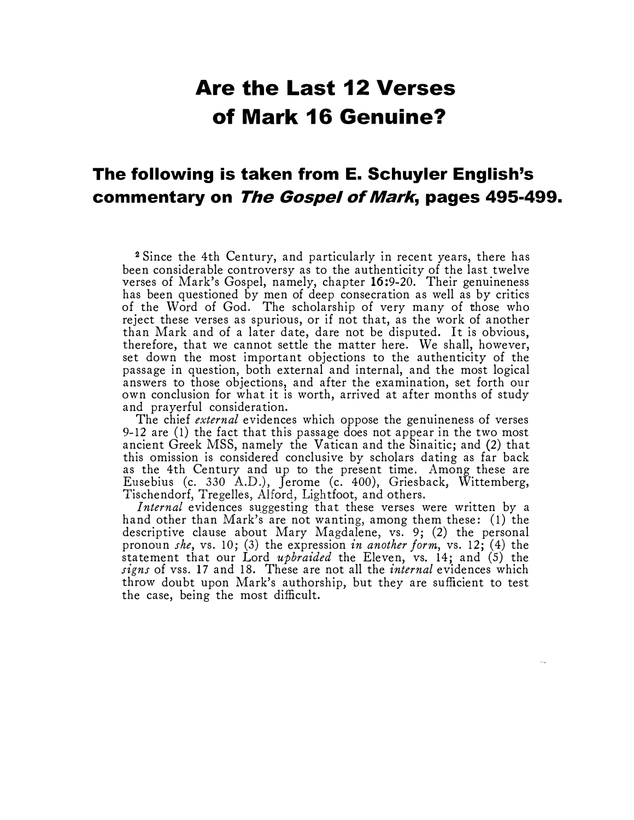## Are the Last 12 Verses of Mark 16 Genuine?

## The following is taken from E. Schuyler English's commentary on The Gospel of Mark, pages 495-499.

<sup>2</sup>Since the 4th Century, and particularly in recent years, there has been considerable controversy as to the authenticity of the last twelve verses of Mark's Gospel, namely, chapter 16:9-20. Their genuineness has been questioned by men of deep consecration as well as by critics of the Word of God. The scholarship of very many of those who reject these verses as spurious, or if not that, as the work of another than Mark and of a later date, dare not be disputed. It is obvious, therefore, that we cannot settle the matter here. We shall, however, set down the most important objections to the authenticity of the passage in question, both external and internal, and the most logical answers to those objections, and after the examination, set forth our own conclusion for what it is worth, arrived at after months of study and prayerful consideration.

The chief *external* evidences which oppose the genuineness of verses 9-12 are (1) the fact that this passage does not appear in the two most ancient Greek MSS, namely the Vatican and the Sinaitic; and (2) that this omission is considered conclusive by scholars dating as far back as the 4th Century and up to the present time. Among these are Eusebius (c. 330 A.D.), Jerome (c. 400), Griesback, Wittemberg, Tischendorf, Tregelles, Alford, Lightfoot, and others.

Internal evidences suggesting that these verses were written by a hand other than Mark's are not wanting, among them these: (1) the descriptive clause about Mary Magdalene, vs. 9; (2) the personal pronoun she, vs. 10; (3) the expression in another form, vs. 12; (4) the statement that our Lord *upbraided* the Eleven, vs. 14; and (5) the signs of vss. 17 and 18. These are not all the *internal* evidences which throw doubt upon Mark's authorship, but they are sufficient to test the case, being the most difficult.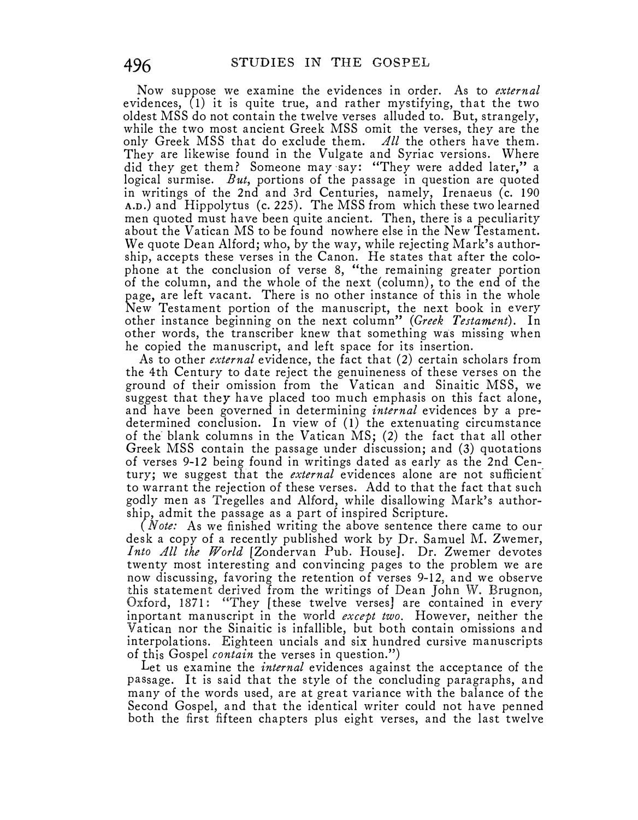Now suppose we examine the evidences in order. As to *external* evidences, (1) it is quite true, and rather mystifying, that the two oldest MSS do not contain the twelve verses alluded to. But, strangely, while the two most ancient Greek MSS omit the verses, they are the only Greek MSS that do exclude them. All the others have them. They are likewise found in the Vulgate and Syriac versions. Where did they get them? Someone may say: "They were added later," a logical surmise. But, portions of the passage in question are quoted in writings of the 2nd and 3rd Centuries, namely, Irenaeus (c. 190 A.n.) and Hippolytus (c. 225). The MSS from which these two learned men quoted must have been quite ancient. Then, there is a peculiarity about the Vatican MS to be found nowhere else in the New Testament. We quote Dean Alford; who, by the way, while rejecting Mark's authorship, accepts these verses in the Canon. He states that after the colophone at the conclusion of verse 8, "the remaining greater portion of the column, and the whole of the next (column), to the end of the page, are left vacant. There is no other instance of this in the whole New Testament portion of the manuscript, the next book in every other instance beginning on the next column" (Greek Testament). In other words, the transcriber knew that something was missing when he copied the manuscript, and left space for its insertion.

As to other *external* evidence, the fact that (2) certain scholars from the 4th Century to date reject the genuineness of these verses on the ground of their omission from the Vatican and Sinaitic MSS, we suggest that they have placed too much emphasis on this fact alone, and have been governed in determining *internal* evidences by a predetermined conclusion. In view of (1) the extenuating circumstance of the blank columns in the Vatican MS; (2) the fact that all other Greek MSS contain the passage under discussion; and (3) quotations of verses 9-12 being found in writings dated as early as the 2nd Cen-. tury; we suggest that the *external* evidences alone are not sufficient to warrant the rejection of these verses. Add to that the fact that such godly men as Tregelles and Alford, while disallowing Mark's authorship, admit the passage as a part of inspired Scripture.

(*Note:* As we finished writing the above sentence there came to our desk a copy of a recently published work by Dr. Samuel M. Zwemer, Into All the World [Zondervan Pub. House]. Dr. Zwemer devotes twenty most interesting and convincing pages to the problem we are now discussing, favoring the retention of verses 9-12, and we observe this statement derived from the writings of Dean John W. Brugnon, Oxford, 1871: "They [these twelve verses] are contained in every inportant manuscript in the world *except two*. However, neither the Vatican nor the Sinaitic is infallible, but both contain omissions and interpolations. Eighteen uncials and six hundred cursive manuscripts of this Gospel contain the verses in question.")

Let us examine the *internal* evidences against the acceptance of the passage. It is said that the style of the concluding paragraphs, and many of the words used, are at great variance with the balance of the Second Gospel, and that the identical writer could not have penned both the first fifteen chapters plus eight verses, and the last twelve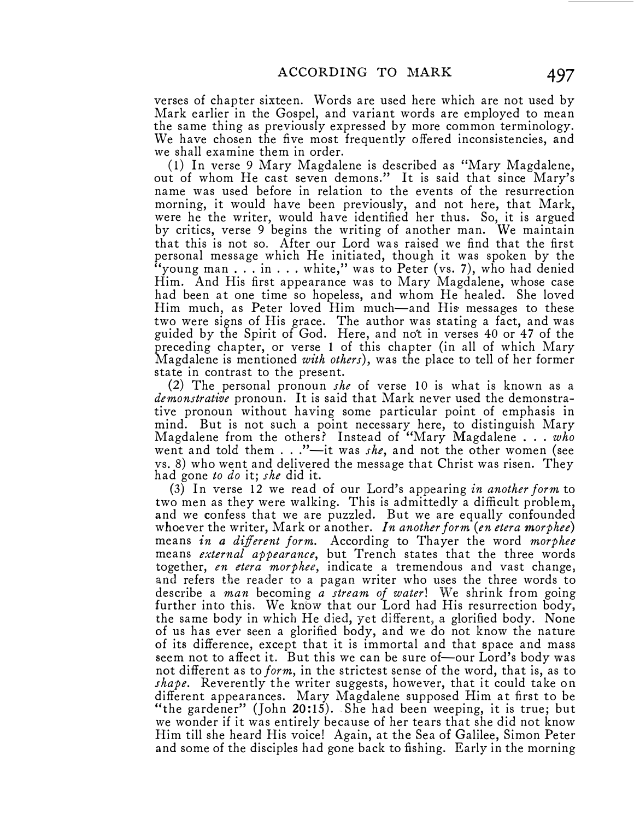ACCORDING TO MARK 49.<br>
verses of chapter sixteen. Words are used here which are not used b<br>
Mark earlier in the Gospel, and variant words are employed to mea<br>
the same thing as previously expressed by more common terminolo verses of chapter sixteen. Words are used here which are not used by Mark earlier in the Gospel, and variant words are employed to mean the same thing as previously expressed by more common terminology. We have chosen the five most frequently offered inconsistencies, and we shall examine them in order.

( 1) In verse 9 Mary Magdalene is described as "Mary Magdalene, out of whom He cast seven demons." It is said that since Mary's name was used before in relation to the events of the resurrection morning, it would have been previously, and not here, that Mark, were he the writer, would have identified her thus. So, it is argued by critics, verse 9 begins the writing of another man. We maintain that this is not so. After our Lord was raised we find that the first personal message which He initiated, though it was spoken by the "young man . . . in  $\dots$  white," was to Peter (vs. 7), who had denied Him. And His first appearance was to Mary Magdalene, whose case had been at one time so hopeless, and whom He healed. She loved Him much, as Peter loved Him much-and His· messages to these two were signs of His grace. The author was stating a fact, and was guided by the Spirit of God. Here, and not in verses 40 or 47 of the preceding chapter, or verse 1 of this chapter (in all of which Mary Magdalene is mentioned with others), was the place to tell of her former state in contrast to the present.

(2) The personal pronoun she of verse 10 is what is known as a demonstrative pronoun. It is said that Mark never used the demonstrative pronoun without having some particular point of emphasis in mind. But is not such a point necessary here, to distinguish Mary Magdalene from the others? Instead of "Mary Magdalene... who went and told them  $\ldots$  "-it was *she*, and not the other women (see vs. 8) who went and delivered the message that Christ was risen. They had gone to do it; she did it.

(3) In verse 12 we read of our Lord's appearing in another form to two men as they were walking. This is admittedly a difficult problem, and we confess that we are puzzled. But we are equally confounded whoever the writer, Mark or another. In another form (en etera morphee) means in a different form. According to Thayer the word morphee means external appearance, but Trench states that the three words together, en etera morphee, indicate a tremendous and vast change, and refers the reader to a pagan writer who uses the three words to describe a man becoming a stream of water! We shrink from going further into this. We know that our Lord had His resurrection body, the same body in which He died, yet different, a glorified body. None of us has ever seen a glorified body, and we do not know the nature of its difference, except that it is immortal and that space and mass seem not to affect it. But this we can be sure of—our Lord's body was not different as to *form*, in the strictest sense of the word, that is, as to shape. Reverently the writer suggests, however, that it could take on different appearances. Mary Magdalene supposed Him at first to be "the gardener" (John 20:15). She had been weeping, it is true; but we wonder if it was entirely because of her tears that she did not know Him till she heard His voice! Again, at the Sea of Galilee, Simon Peter and some of the disciples had gone back to fishing. Early in the morning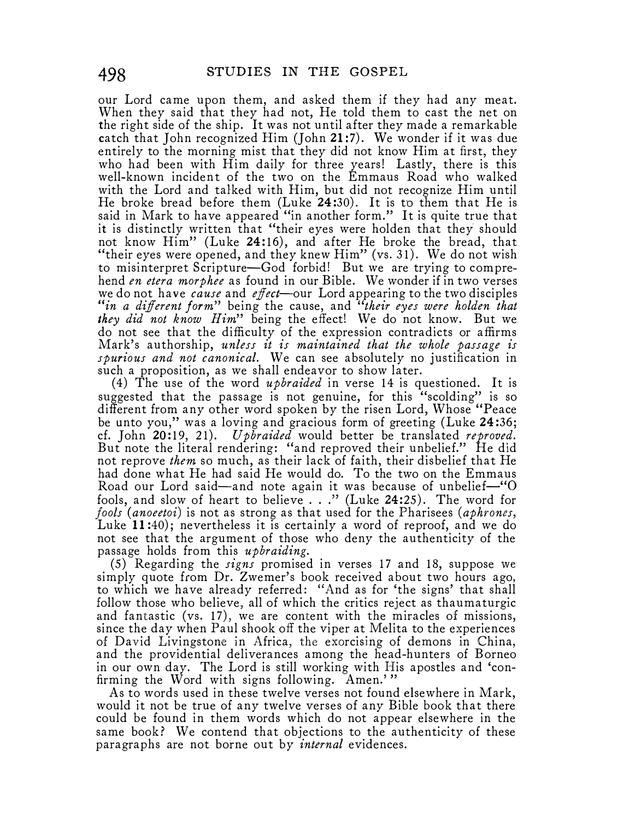our Lord came upon them, and asked them if they had any meat. When they said that they had not, He told them to cast the net on the right side of the ship. It was not until after they made a remarkable catch that John recognized Him (John 21 :7). We wonder if it was due entirely to the morning mist that they did not know Him at first, they who had been with Him daily for three years! Lastly, there is this well-known incident of the two on the Emmaus Road who walked with the Lord and talked with Him, but did not recognize Him until He broke bread before them (Luke 24:30). It is to them that He is said in Mark to have appeared "in another form." It is quite true that it is distinctly written that "their eyes were holden that they should not know Him" (Luke 24:16), and after He broke the bread, that "their eyes were opened, and they knew Him" (vs. 31). We do not wish to misinterpret Scripture-God forbid! But we are trying to comprehend en etera morphee as found in our Bible. We wonder if in two verses we do not have *cause* and *effect*—our Lord appearing to the two disciples "in a different form" being the cause, and "their eyes were holden that they did not know  $Him$ " being the effect! We do not know. But we do not see that the difficulty of the expression contradicts or affirms Mark's authorship, unless it is maintained that the whole passage is spurious and not canonical. We can see absolutely no justification in such a proposition, as we shall endeavor to show later.

(4) The use of the word upbraided in verse 14 is questioned. It is suggested that the passage is not genuine, for this "scolding" is so different from any other word spoken by the risen Lord, Whose "Peace be unto you,'' was a loving and gracious form of greeting (Luke 24:36; cf. John 20:19, 21). Upbraided would better be translated reproved. But note the literal rendering: "and reproved their unbelief." He did not reprove *them* so much, as their lack of faith, their disbelief that He had done what He had said He would do. To the two on the Emmaus Road our Lord said—and note again it was because of unbelief—"O fools, and slow of heart to believe  $\ldots$ " (Luke 24:25). The word for fools (anoeetoi) is not as strong as that used for the Pharisees (aphrones, Luke 11:40); nevertheless it is certainly a word of reproof, and we do not see that the argument of those who deny the authenticity of the passage holds from this upbraiding.

 $(5)$  Regarding the *signs* promised in verses 17 and 18, suppose we simply quote from Dr. Zwemer's book received about two hours ago, to which we have already referred: "And as for 'the signs' that shall follow those who believe, all of which the critics reject as thaumaturgic and fantastic (vs. 17), we are content with the miracles of missions, since the day when Paul shook off the viper at Melita to the experiences of David Livingstone in Africa, the exorcising of demons in China, and the providential deliverances among the head-hunters of Borneo in our own day. The Lord is still working with His apostles and 'confirming the Word with signs following. Amen.'"

As to words used in these twelve verses not found elsewhere in Mark, would it not be true of any twelve verses of any Bible book that there could be found in them words which do not appear elsewhere in the same book? We contend that objections to the authenticity of these paragraphs are not borne out by *internal* evidences.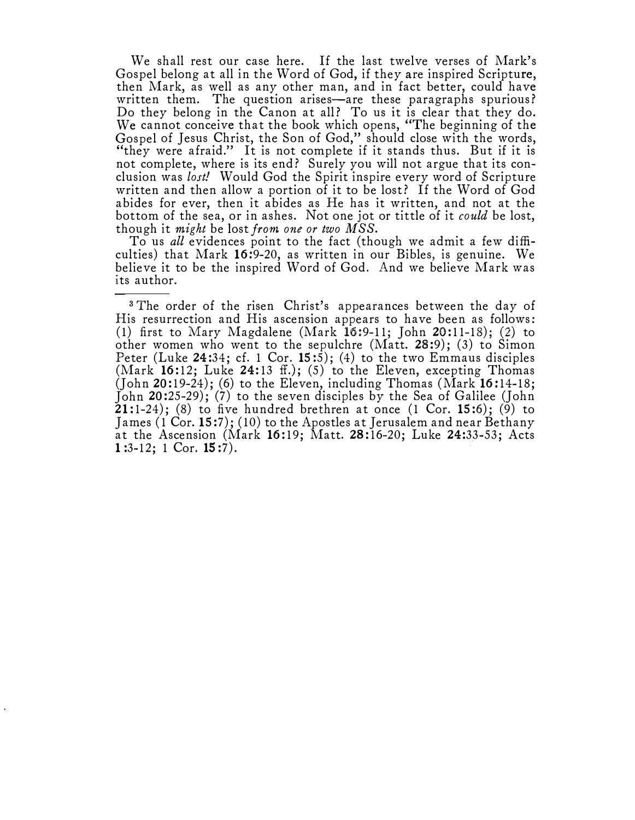We shall rest our case here. If the last twelve verses of Mark's Gospel belong at all in the Word of God, if they are inspired Scripture, then Mark, as well as any other man, and in fact better; could have written them. The question arises—are these paragraphs spurious? Do they belong in the Canon at all? To us it is clear that they do. We cannot conceive that the book which opens, "The beginning of the Gospel of Jesus Christ, the Son of God," should close with the words, "they were afraid." It is not complete if it stands thus. But if it is not complete, where is its end? Surely you will not argue that its conclusion was lost! Would God the Spirit inspire every word of Scripture written and then allow a portion of it to be lost? If the Word of God abides for ever, then it abides as He has it written, and not at the bottom of the sea, or in ashes. Not one jot or tittle of it could be lost, though it might be lost from one or two  $MSS$ .

To us all evidences point to the fact (though we admit a few difficulties) that Mark 16:9-20, as written in our Bibles, is genuine. We believe it to be the inspired Word of God. And we believe Mark was its author.

<sup>3</sup>The order of the risen Christ's appearances between the day of His resurrection and His ascension appears to have been as follows: (1) first to Mary Magdalene (Mark 16:9-11; John 20:11-18); (2) to other women who went to the sepulchre (Matt. 28:9); (3) to Simon Peter (Luke 24:34; cf. 1 Cor. 15:5); (4) to the two Emmaus disciples (Mark 16:12; Luke 24:13 ff.); (5) to the Eleven, excepting Thomas (John 20:19-24); (6) to the Eleven, including Thomas (Mark 16:14-18; John 20:25-29); (7) to the seven disciples by the Sea of Galilee (John 21:1-24); (8) to five hundred brethren at once  $(1 \text{ Cor. } 15:6)$ ;  $(\overline{9})$  to James (1Cor.15:7); (10) to the Apostles at Jerusalem and near Bethany at the Ascension (Mark 16:19; Matt. 28:16-20; Luke 24:33-53; Acts 1 :3-12; 1 Cor. 15 :7).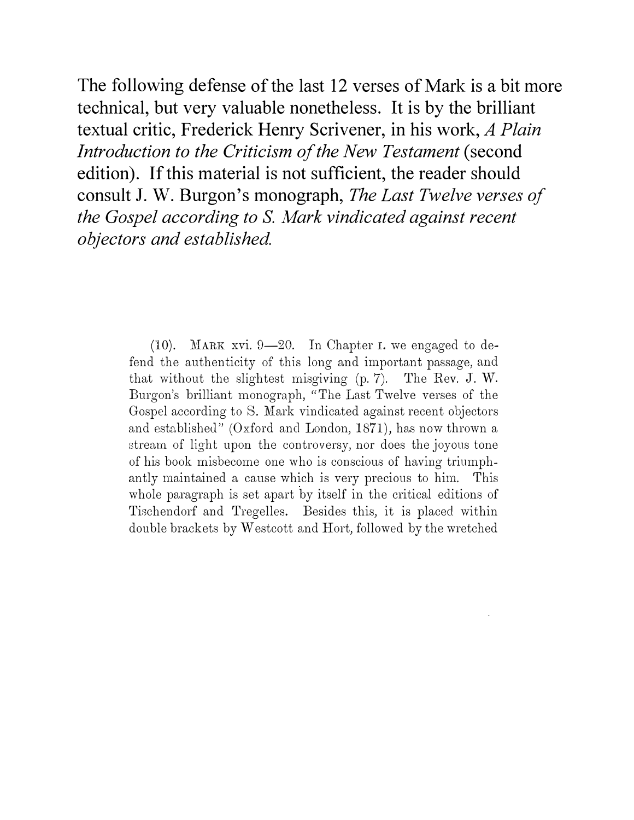The following defense of the last 12 verses of Mark is a bit more technical, but very valuable nonetheless. It is by the brilliant textual critic, Frederick Henry Scrivener, in his work, A Plain Introduction to the Criticism of the New Testament (second edition). If this material is not sufficient, the reader should consult J. W. Burgon's monograph, The Last Twelve verses of the Gospel according to S. Mark vindicated against recent objectors and established.

> (10). MARK xvi.  $9-20$ . In Chapter I. we engaged to defend the authenticity of this long and important passage, and that without the slightest misgiving (p. 7). The Rev. J. W. Burgon's brilliant monograph, "The Last Twelve verses of the Gospel according to S. Mark vindicated against recent objectors and established" (Oxford and London, 1871), has now thrown a stremn of light upon the controversy, nor does the joyous tone of his book misbecome one who is conscious of having triumphantly maintained a cause which js very precious to him. This whole paragraph is set apart by itself in the critical editions of Tischendorf and Tregelles. Besides this, it is placed within double brackets by Westcott and Hort, followed by the wretched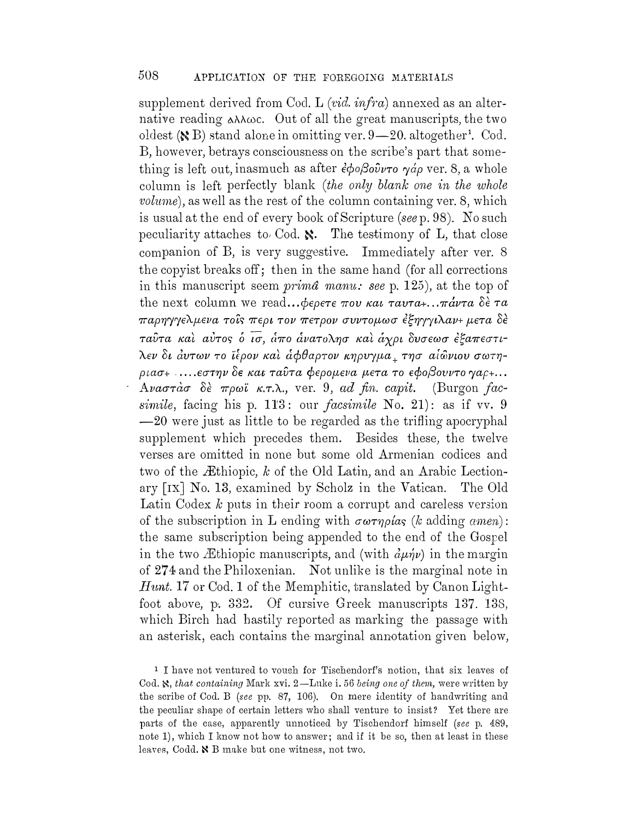supplement derived from Cod. L  $(vid. \infra)$  annexed as an alternative reading  $\alpha\lambda\lambda\omega c$ . Out of all the great manuscripts, the two oldest ( $\angle$ B) stand alone in omitting ver. 9-20. altogether<sup>1</sup>. Cod. B, however, betrays consciousness on the scribe's part that something is left out, inasmuch as after  $\epsilon \phi_0 \beta_0 \hat{\nu}_{\nu} \tau_0$   $\gamma \phi_0$  ver, 8, a whole column is left perfectly blank (the only blank one in the whole *volume*), as well as the rest of the column containing ver. 8, which is usual at the end of every book of Scripture (see p. 98). No such peculiarity attaches to Cod.  $\aleph$ . The testimony of L, that close companion of B, is very suggestive. Immediately after ver. 8 the copyist breaks off; then in the same hand (for all corrections in this manuscript seem *prima manu:* see p. 125), at the top of the next column we read... $\phi$ *epere nov kal ravra+...* $\pi \dot{a} \nu \tau a$   $\delta \dot{\epsilon} \tau a$ παρηγγελμενα τοίς περι τον πετρον συντομωσ έξηγγιλαν+ μετα δέ ταύτα και αύτος ό ισ, άπο άνατολησ και άγρι δυσεωσ έξαπεστιλεν δι άυτων το ϊέρον και άφθαρτον κηρυγμα, τησ αίώνιου σωτη $ριασ+$  ..... $εστην$  δε και ταΰτα φερομενα μετα το εφοβουντο γαρ+...  $A\nu a\sigma\tau a\sigma \delta$ έ πρωϊ κ.τ.λ., ver. 9, ad fin. capit. (Burgon facsimile, facing his p. 113: our *facsimile* No. 21): as if vv. 9 -20 were just as little to be regarded as the trifling apocryphal supplement which precedes them. Besides these, the twelve verses are omitted in none but some old Armenian codices and two of the Æthiopic,  $k$  of the Old Latin, and an Arabic Lectionary [IX] No. 13, examined by Scholz in the Vatican. The Old Latin Codex  $k$  puts in their room a corrupt and careless version of the subscription in L ending with  $\sigma\omega\tau\eta\rho\omega s$  (*k* adding *amen*): the same subscription being appended to the end of the Gospel in the two Æthiopic manuscripts, and (with  $\partial_{\mu} \psi$ ) in the margin of 274 and the Philoxenian. Not unlike is the marginal note in Hunt. 17 or Cod. 1 of the Memphitic, translated by Canon Lightfoot above, p. 332. Of cursive Greek manuscripts 137. 138, which Birch had hastily reported as marking the passage with an asterisk, each contains the marginal annotation given below,

<sup>1</sup> I have not ventured to vouch for Tischendorf's notion, that six leaves of Cod. S., that containing Mark xvi. 2-Luke i. 56 being one of them, were written by the scribe of Cod. B (see pp. 87, 106). On mere identity of handwriting and the peculiar shape of certain letters who shall venture to insist? Yet there are parts of the case, apparently unnoticed by Tischendorf himself (see p. 489, note 1), which I know not how to answer; and if it be so, then at least in these leaves, Codd. & B make but one witness, not two.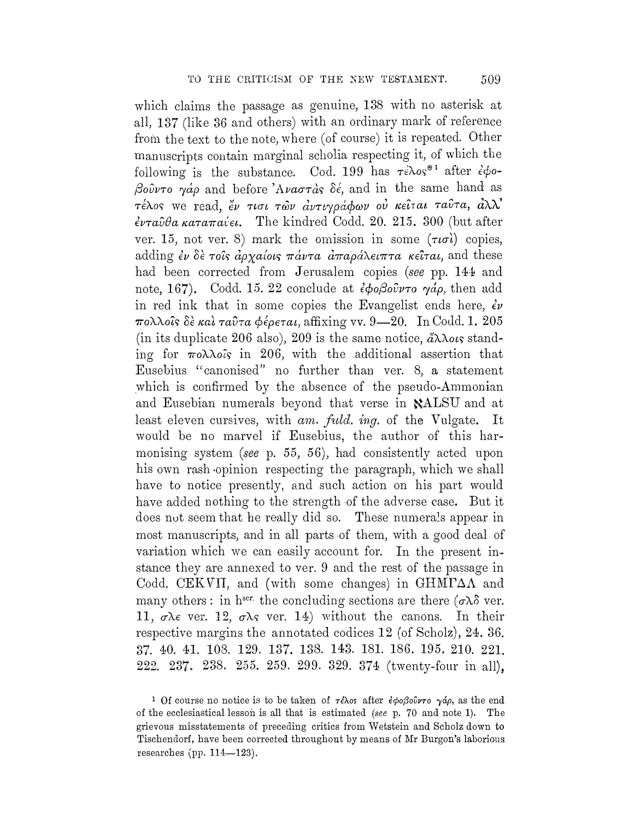509

which claims the passage as genuine, 138 with no asterisk at all, 137 (like 36 and others) with an ordinary mark of reference from the text to the note, where (of course) it is repeated. Other manuscripts contain marginal scholia respecting it, of which the following is the substance. Cod. 199 has  $\tau \epsilon \lambda o s^{*1}$  after  $\epsilon \phi o$ -Bouvro  $\gamma a \rho$  and before 'Avacra's  $\delta \epsilon$ , and in the same hand as  $\tau$ έλος we read, έν τισι των αντιγράφων ού κείται ταύτα, αλλ'  $\epsilon \nu \tau a \hat{\nu} \theta a \kappa a \tau a \pi a \nu \epsilon \iota$ . The kindred Codd. 20, 215, 300 (but after ver. 15, not ver. 8) mark the omission in some  $(\tau \omega)$  copies, adding  $\epsilon \nu$   $\delta \epsilon$  rois  $\dot{a}$   $\dot{\rho}$   $\chi$   $a$   $\dot{\rho}$   $\alpha$   $\dot{\sigma}$   $\tau$   $\dot{\alpha}$   $\mu$   $\alpha$   $\alpha$   $\alpha$   $\alpha$   $\dot{\sigma}$   $\dot{\alpha}$   $\tau$   $\dot{\alpha}$   $\dot{\alpha}$   $\dot{\alpha}$   $\dot{\alpha}$   $\dot{\alpha}$   $\dot{\alpha}$   $\dot{\alpha}$   $\dot{\alpha}$   $\dot{\alpha}$   $\dot{\alpha}$   $\dot{\alpha}$   $\$ had been corrected from Jerusalem copies (see pp. 144 and note, 167). Codd. 15. 22 conclude at  $\partial \phi \partial \partial \partial \nu$  or  $\partial \phi$ , then add in red ink that in some copies the Evangelist ends here,  $\dot{\epsilon} \nu$ πολλοΐς δε και ταύτα φέρεται, affixing vv. 9-20. In Codd. 1. 205 (in its duplicate 206 also), 209 is the same notice,  $\partial \lambda \lambda o \kappa s$  standing for  $\pi \circ \lambda \lambda \circ \hat{\imath}$  in 206, with the additional assertion that Eusebius "canonised" no further than ver. 8, a statement which is confirmed by the absence of the pseudo-Ammonian and Eusebian numerals beyond that verse in NALSU and at least eleven cursives, with am. fuld. ing. of the Vulgate. It would be no marvel if Eusebius, the author of this harmonising system (see p. 55, 56), had consistently acted upon his own rash opinion respecting the paragraph, which we shall have to notice presently, and such action on his part would have added nothing to the strength of the adverse case. But it does not seem that he really did so. These numerals appear in most manuscripts, and in all parts of them, with a good deal of variation which we can easily account for. In the present instance they are annexed to ver. 9 and the rest of the passage in Codd. CEKVII, and (with some changes) in  $\text{GHM}\Gamma\Delta\Lambda$  and many others: in h<sup>scr.</sup> the concluding sections are there  $(\sigma \lambda)$  ver. 11,  $\sigma \lambda \epsilon$  ver. 12,  $\sigma \lambda s$  ver. 14) without the canons. In their respective margins the annotated codices 12 (of Scholz), 24. 36. 37. 40. 41. 108. 129. 137. 138. 143. 181. 186. 195. 210. 221. 222. 237. 238. 255. 259. 299. 329. 374 (twenty-four in all).

<sup>&</sup>lt;sup>1</sup> Of course no notice is to be taken of  $\tau \in \lambda$ os after  $\epsilon \phi \circ \beta \circ \hat{\nu} \tau$ o  $\gamma \phi \rho$ , as the end of the ecclesiastical lesson is all that is estimated (see p. 70 and note 1). The grievous misstatements of preceding critics from Wetstein and Scholz down to Tischendorf, have been corrected throughout by means of Mr Burgon's laborious researches (pp.  $114-123$ ).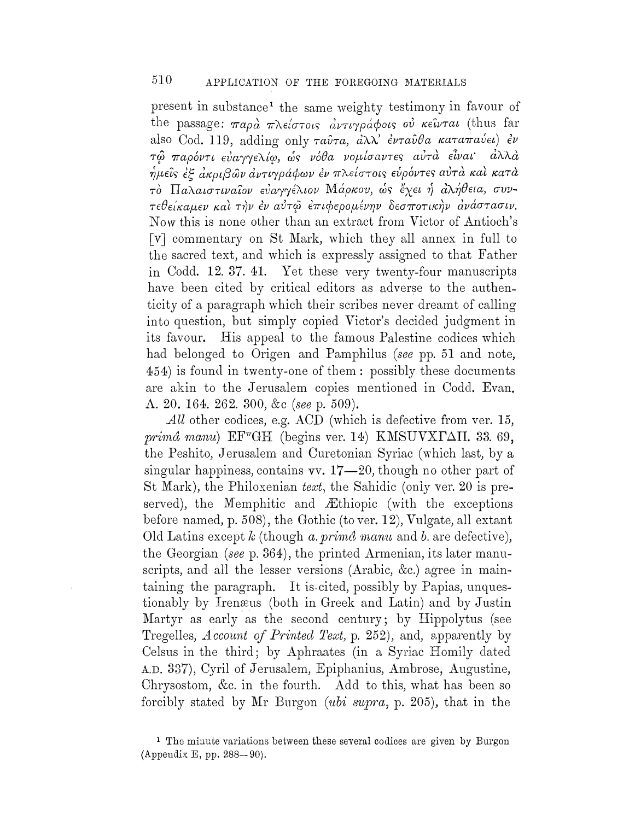present in substance<sup>1</sup> the same weighty testimony in favour of the passage:  $\pi a \rho \dot{a}$   $\pi \lambda \epsilon \dot{\sigma} \tau \dot{\sigma} \dot{\sigma}$   $\dot{\alpha} \nu \tau \dot{\sigma} \dot{\sigma}$   $\dot{\sigma} \dot{\sigma}$   $\dot{\sigma} \dot{\sigma}$   $\dot{\sigma} \dot{\sigma}$   $\dot{\sigma}$   $\dot{\sigma}$   $\dot{\sigma}$   $\dot{\sigma}$   $\dot{\sigma}$   $\dot{\sigma}$   $\dot{\sigma}$   $\dot{\sigma}$ also Cod. 119, adding only  $\tau a\hat{v}\tau a$ ,  $\hat{a}\lambda\lambda$ '  $\hat{\epsilon}\nu\tau a\hat{v}\theta a$   $\kappa a\tau a\pi a\hat{v}\epsilon\iota$   $\hat{\epsilon}\nu$ τώ παρόντι εύαγγελίω, ώς νόθα νομίσαντες αύτά είναι άλλά ημείς έξ ακριβών αντιγράφων εν πλείστοις ευρόντες αύτα και κατα τό Παλαιστιναίον εύαγγέλιον Μάρκου, ώς έχει ή άλήθεια, συντεθείκαμεν και την έν αύτω έπιφερομένην δεσποτικήν ανάστασιν. Now this is none other than an extract from Victor of Antioch's [v] commentary on St Mark, which they all annex in full to the sacred text, and which is expressly assigned to that Father in Codd. 12. 37. 41. Yet these very twenty-four manuscripts have been cited by critical editors as adverse to the authenticity of a paragraph which their scribes never dreamt of calling into question, but simply copied Victor's decided judgment in its favour. His appeal to the famous Palestine codices which had belonged to Origen and Pamphilus (see pp. 51 and note, 454) is found in twenty-one of them: possibly these documents are akin to the Jerusalem copies mentioned in Codd. Evan. Λ. 20. 164. 262. 300, &c (see p. 509).

 $All$  other codices, e.g. ACD (which is defective from ver. 15, primá manu) EF<sup>w</sup>GH (begins ver. 14) KMSUVXTAII. 33. 69, the Peshito, Jerusalem and Curetonian Syriac (which last, by a singular happiness, contains  $vv. 17-20$ , though no other part of St Mark), the Philoxenian text, the Sahidic (only ver. 20 is preserved), the Memphitic and Æthiopic (with the exceptions before named, p. 508), the Gothic (to ver. 12), Vulgate, all extant Old Latins except  $k$  (though a prima manu and b are defective), the Georgian (see p. 364), the printed Armenian, its later manuscripts, and all the lesser versions (Arabic, &c.) agree in maintaining the paragraph. It is cited, possibly by Papias, unquestionably by Irenæus (both in Greek and Latin) and by Justin Martyr as early as the second century; by Hippolytus (see Tregelles, Account of Printed Text, p. 252), and, apparently by Celsus in the third; by Aphraates (in a Syriac Homily dated A.D. 337), Cyril of Jerusalem, Epiphanius, Ambrose, Augustine, Chrysostom, &c. in the fourth. Add to this, what has been so forcibly stated by Mr Burgon (ubi supra, p. 205), that in the

<sup>&</sup>lt;sup>1</sup> The minute variations between these several codices are given by Burgon (Appendix E, pp. 288-90).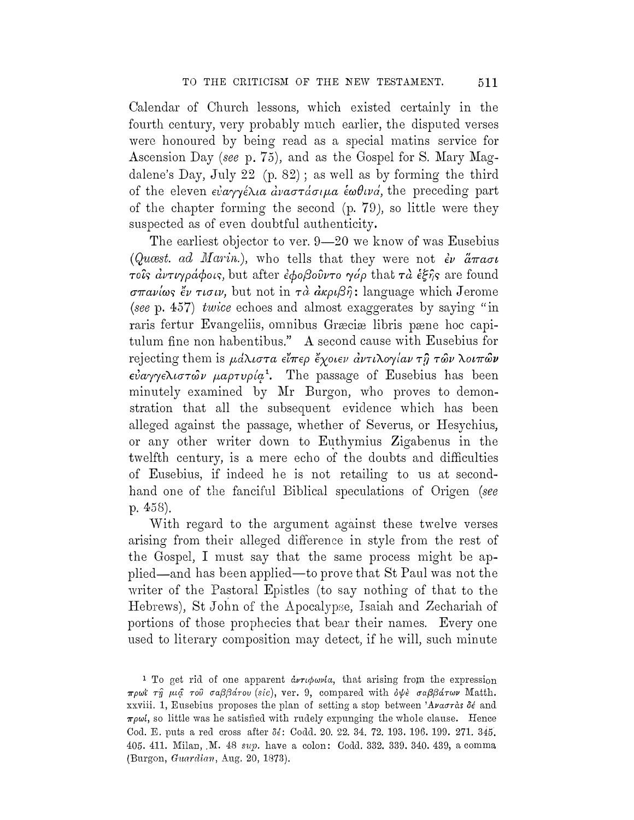Calendar of Church lessons, which existed certainly in the fourth century, very probably much earlier, the disputed verses were honoured by being read as a special matins service for Ascension Day (see p. 75), and as the Gospel for S. Mary Magdalene's Day, July 22 (p. 82) ; as well as by forming the third of the eleven  $\varepsilon \dot{\varepsilon} \alpha \gamma \gamma \dot{\varepsilon} \lambda \varepsilon \alpha \dot{\alpha} \alpha \sigma \tau \dot{\alpha} \sigma \nu \alpha \dot{\varepsilon} \omega \theta \nu \dot{\alpha}$ , the preceding part of the chapter forming the second (p. 79 ), so little were they suspected as of even doubtful authenticity.

The earliest objector to ver. 9-20 we know of was Eusebius (Quast. ad Marin.), who tells that they were not  $\dot{\epsilon}v$   $\ddot{a}\pi a\sigma t$  $\tau$ οις αντιγράφοις, but after εφοβούντο γάρ that τα εξής are found  $\sigma$ *Taviως*  $\ddot{\epsilon}$ *ν τισιν*, but not in *τα αποιβή*: language which Jerome (seep. 457) twice echoes and almost exaggerates by saying "in raris fertur Evangeliis, omnibus Græciæ libris pæne hoc capitulum fine non habentibus." A second cause with Eusebius for rejecting them is  $\mu d\lambda \iota \sigma \tau a$   $\epsilon \iota \tau \epsilon \rho$   $\iota \iota \chi o \iota \iota \iota \nu a \nu \tau \iota \lambda o \gamma \iota \iota a \nu \tau \iota \hat{\jmath}$   $\tau \hat{\omega} \nu \lambda o \iota \pi \hat{\omega} \nu$  $\epsilon \dot{\nu} a \gamma \gamma \epsilon \lambda \iota \sigma \tau \hat{\omega} \nu$   $\mu a \rho \tau \nu \rho \iota \varphi^1$ . The passage of Eusebius has been minutely examined by Mr Burgon, who proves to demonstration that all the subsequent evidence which has been alleged against the passage, whether of Severus, or Hesychius, or any other writer down to Euthymius Zigabenus in the twelfth century, is a mere echo of the doubts and difficulties of Eusebius, if indeed he is not retailing to us at secondhand one of the fanciful Biblical speculations of Origen (see p. 458).

With regard to the argument against these twelve verses arising from their alleged difference in style from the rest of the Gospel, I must say that the same process might be applied-and has been applied-to prove that St Paul was not the writer of the Pastoral Epistles (to say nothing of that to the Hebrews), St John of the Apocalypse, Isaiah and Zechariah of portions of those prophecies that bear their names. Every one used to literary composition may detect, if he will, such minute

<sup>1</sup> To get rid of one apparent  $\partial \nu \tau \phi \omega \nu \omega$ , that arising from the expression πρωϊ τη μια του σαββάτου (sic), ver. 9, compared with όψε σαββάτων Matth. xxviii. 1, Eusebius proposes the plan of setting a stop between 'Avaora's  $\delta \epsilon$  and  $\pi \rho \omega l$ , so little was he satisfied with rudely expunging the whole clause. Hence Cod. E. puts a red cross after  $\delta\epsilon$ : Codd. 20. 22. 34. 72. 193. 196. 199. 271. 345. 405. 411. Milan, M. 48 sup. have a colon: Codd. 332. 339. 340. 439, a comma (Burgon, Guardian, Aug. 20, 1873).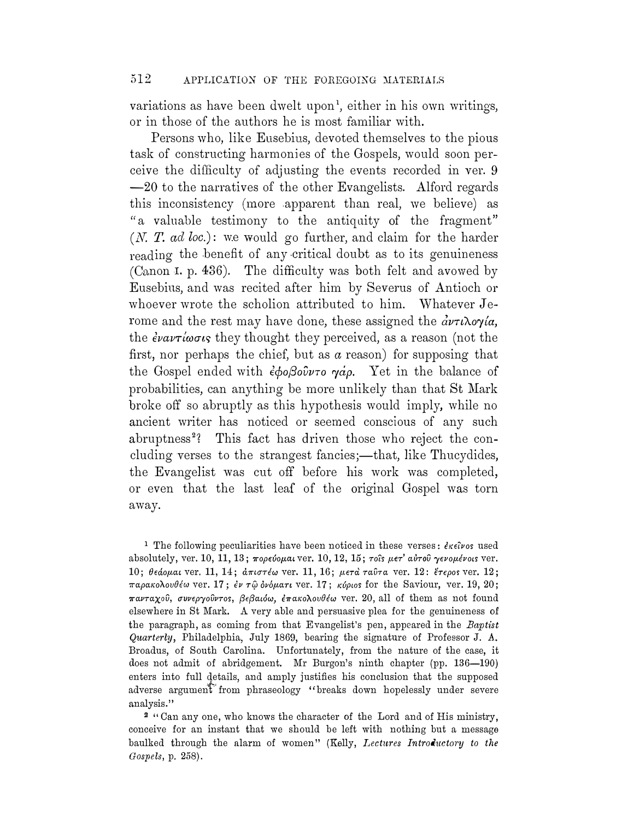variations as have been dwelt upon<sup>1</sup>, either in his own writings, or in those of the authors he is most familiar with.

Persons who, like Eusehins, devoted themselves to the pious task of constructing harmonies of the Gospels, would soon perceive the difficulty of adjusting the events recorded in ver. 9 -20 to the narratives of the other Evangelists. Alford regards this inconsistency (more .apparent than real, we believe) as "a valuable testimony to the antiquity of the fragment"  $(N. T. ad loc.):$  we would go further, and claim for the harder reading the benefit of any critical doubt as to its genuineness (Canon I. p. 436). The difficulty was both felt and avowed by Eusebins, and was recited after him by Severns of Antioch or whoever wrote the scholion attributed to him. Whatever  $Je$ rome and the rest may have done, these assigned the  $\partial \nu \tau \nu \partial \phi / \partial a$ , the  $\partial \overline{\partial} u$  they thought they perceived, as a reason (not the first, nor perhaps the chief, but as  $a$  reason) for supposing that the Gospel ended with  $\epsilon \phi_0 \beta_0 \hat{\theta} \nu \tau_0$   $\gamma \dot{\alpha} \rho$ . Yet in the balance of probabilities, can anything be more unlikely than that St Mark broke off so abruptly as this hypothesis would imply, while no ancient writer has noticed or seemed conscious of any such abruptness<sup>2</sup>? This fact has driven those who reject the concluding verses to the strangest fancies;—that, like Thucydides, the Evangelist was cut off before his work was completed, or even that the last leaf of the original Gospel was torn away.

<sup>1</sup> The following peculiarities have been noticed in these verses:  $\partial \kappa \partial \nu$  used absolutely, ver. 10, 11, 13;  $\pi$ ορεύομαι ver. 10, 12, 15; τοίs μετ' αύτου γενομένοιs ver. 10; θεάομαι ver. 11, 14; άπιστέω ver. 11, 16; μετά ταῦτα ver. 12: έτερος ver. 12; παρακολουθέω ver. 17; εν τῷ δνόματι ver. 17; κύριοs for the Saviour, ver. 19, 20;  $\pi\omega\tau\alpha\chi$ ού, συνεργούντος, βεβαιόω, έπακολουθέω ver. 20, all of them as not found elsewhere in St Mark. A very able and persuasive plea for the genuineness of the paragraph, as coming from that Evangelist's pen, appeared in the Baptist Quarterly, Philadelphia, July 1869, bearing the signature of Professor J. A. Broadus, of South Carolina. Unfortunately, from the nature of the case, it does not admit of abridgement. Mr Burgon's ninth chapter (pp. 136-190) enters into full details, and amply justifies his conclusion that the supposed adverse argument from phraseology "breaks down hopelessly under severe analysis."

<sup>2</sup>"Can any one, who knows the character of the Lord and of His ministry, conceive for an instant that we should be left with nothing but a message baulked through the alarm of women" (Kelly, Lectures Introductory to the Gospels, p. 258).